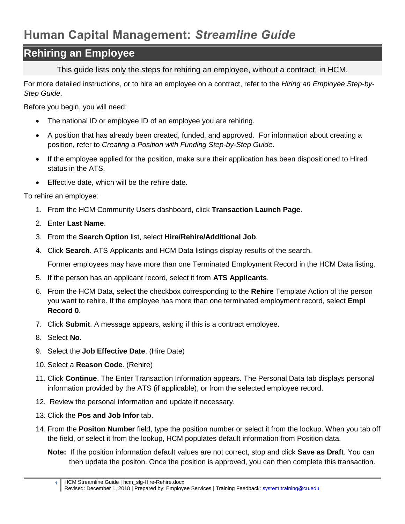## **Human Capital Management:** *Streamline Guide*

## **Rehiring an Employee**

This guide lists only the steps for rehiring an employee, without a contract, in HCM.

For more detailed instructions, or to hire an employee on a contract, refer to the *Hiring an Employee Step-by-Step Guide*.

Before you begin, you will need:

- The national ID or employee ID of an employee you are rehiring.
- A position that has already been created, funded, and approved. For information about creating a position, refer to *Creating a Position with Funding Step-by-Step Guide*.
- If the employee applied for the position, make sure their application has been dispositioned to Hired status in the ATS.
- **Effective date, which will be the rehire date.**

To rehire an employee:

- 1. From the HCM Community Users dashboard, click **Transaction Launch Page**.
- 2. Enter **Last Name**.
- 3. From the **Search Option** list, select **Hire/Rehire/Additional Job**.
- 4. Click **Search**. ATS Applicants and HCM Data listings display results of the search.

Former employees may have more than one Terminated Employment Record in the HCM Data listing.

- 5. If the person has an applicant record, select it from **ATS Applicants**.
- 6. From the HCM Data, select the checkbox corresponding to the **Rehire** Template Action of the person you want to rehire. If the employee has more than one terminated employment record, select **Empl Record 0**.
- 7. Click **Submit**. A message appears, asking if this is a contract employee.
- 8. Select **No**.
- 9. Select the **Job Effective Date**. (Hire Date)
- 10. Select a **Reason Code**. (Rehire)
- 11. Click **Continue**. The Enter Transaction Information appears. The Personal Data tab displays personal information provided by the ATS (if applicable), or from the selected employee record.
- 12. Review the personal information and update if necessary.
- 13. Click the **Pos and Job Infor** tab.
- 14. From the **Positon Number** field, type the position number or select it from the lookup. When you tab off the field, or select it from the lookup, HCM populates default information from Position data.
	- **Note:** If the position information default values are not correct, stop and click **Save as Draft**. You can then update the positon. Once the position is approved, you can then complete this transaction.

**<sup>1</sup>** HCM Streamline Guide | hcm\_slg-Hire-Rehire.docx Revised: December 1, 2018 | Prepared by: Employee Services | Training Feedback: [system.training@cu.edu](mailto:system.training@cu.edu)